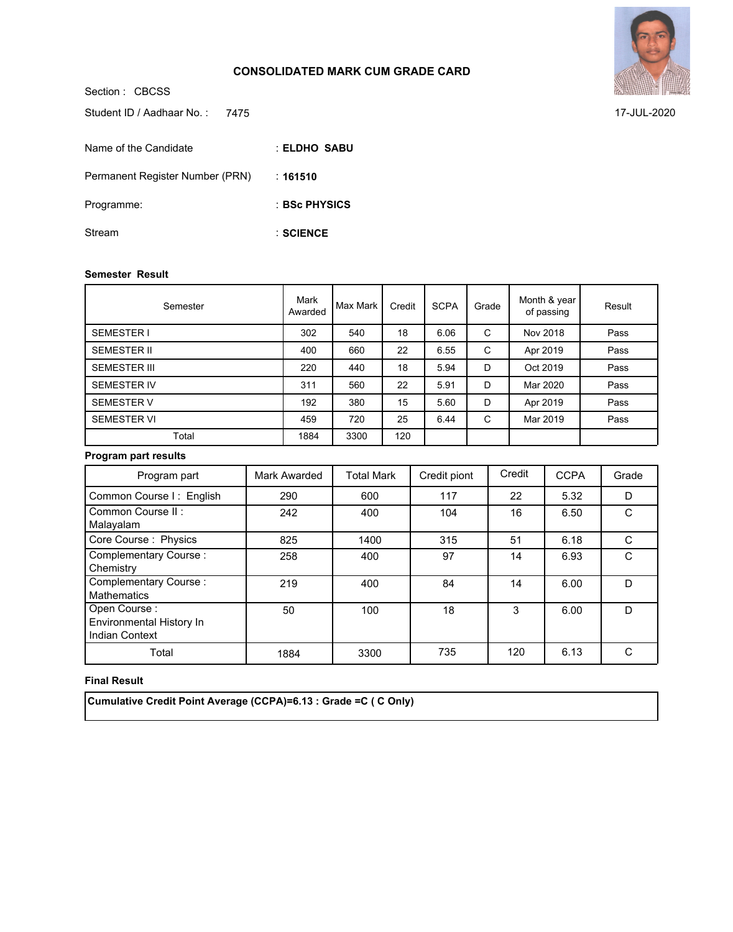### **CONSOLIDATED MARK CUM GRADE CARD**

Section : CBCSS **ELDHO SABU** : **161510** : **BSc PHYSICS** : **SCIENCE** : Student ID / Aadhaar No.: 7475 Name of the Candidate Permanent Register Number (PRN) Programme: Stream

#### **Semester Result**

| Semester            | Mark<br>Awarded | Max Mark | Credit | <b>SCPA</b> | Grade | Month & year<br>of passing | Result |
|---------------------|-----------------|----------|--------|-------------|-------|----------------------------|--------|
| <b>SEMESTER I</b>   | 302             | 540      | 18     | 6.06        | C     | Nov 2018                   | Pass   |
| <b>SEMESTER II</b>  | 400             | 660      | 22     | 6.55        | C     | Apr 2019                   | Pass   |
| <b>SEMESTER III</b> | 220             | 440      | 18     | 5.94        | D     | Oct 2019                   | Pass   |
| SEMESTER IV         | 311             | 560      | 22     | 5.91        | D     | Mar 2020                   | Pass   |
| <b>SEMESTER V</b>   | 192             | 380      | 15     | 5.60        | D     | Apr 2019                   | Pass   |
| <b>SEMESTER VI</b>  | 459             | 720      | 25     | 6.44        | C     | Mar 2019                   | Pass   |
| Total               | 1884            | 3300     | 120    |             |       |                            |        |

# **Program part results**

| Program part                                                      | Mark Awarded | <b>Total Mark</b> | Credit piont | Credit | <b>CCPA</b> | Grade  |
|-------------------------------------------------------------------|--------------|-------------------|--------------|--------|-------------|--------|
| Common Course I: English                                          | 290          | 600               | 117          | 22     | 5.32        | D      |
| Common Course II:<br>Malayalam                                    | 242          | 400               | 104          | 16     | 6.50        | C      |
| Core Course: Physics                                              | 825          | 1400              | 315          | 51     | 6.18        | C      |
| Complementary Course:<br>Chemistry                                | 258          | 400               | 97           | 14     | 6.93        | C      |
| <b>Complementary Course:</b><br><b>Mathematics</b>                | 219          | 400               | 84           | 14     | 6.00        | D      |
| Open Course:<br>Environmental History In<br><b>Indian Context</b> | 50           | 100               | 18           | 3      | 6.00        | D      |
| Total                                                             | 1884         | 3300              | 735          | 120    | 6.13        | $\cap$ |

#### **Final Result**

 **Cumulative Credit Point Average (CCPA)=6.13 : Grade =C ( C Only)**



7475 17-JUL-2020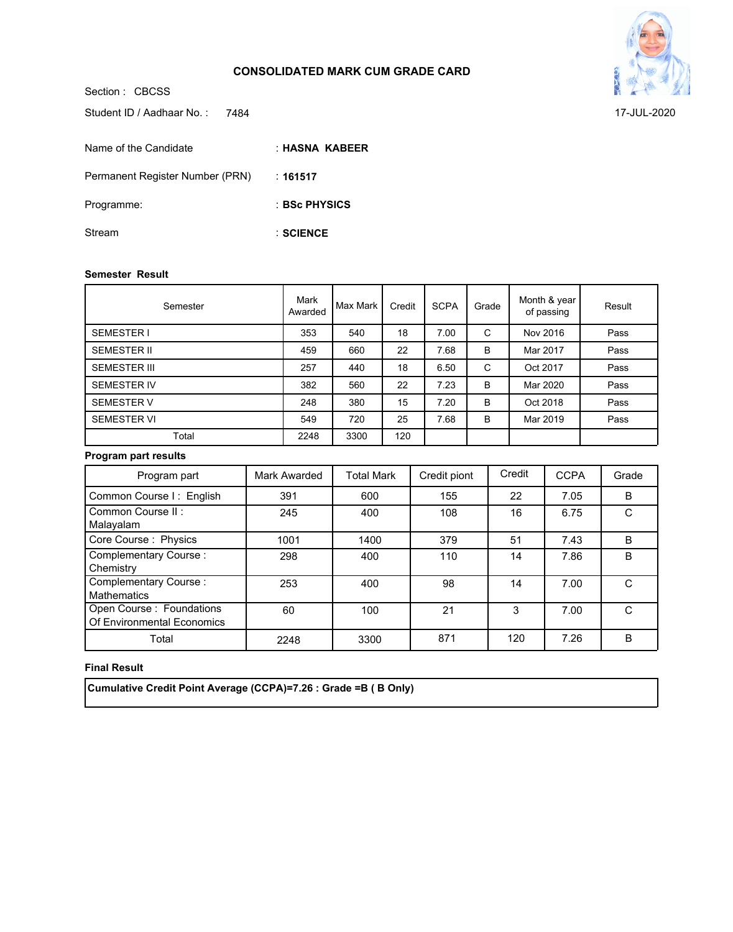### **CONSOLIDATED MARK CUM GRADE CARD**



Section : CBCSS Student ID / Aadhaar No.: 7484

| Name of the Candidate           | : HASNA KABEER |
|---------------------------------|----------------|
| Permanent Register Number (PRN) | :161517        |
| Programme:                      | : BSc PHYSICS  |
| Stream                          | $:$ SCIENCE    |

#### **Semester Result**

| Semester            | Mark<br>Awarded | Max Mark | Credit | <b>SCPA</b> | Grade | Month & year<br>of passing | Result |
|---------------------|-----------------|----------|--------|-------------|-------|----------------------------|--------|
| <b>SEMESTER I</b>   | 353             | 540      | 18     | 7.00        | C     | Nov 2016                   | Pass   |
| <b>SEMESTER II</b>  | 459             | 660      | 22     | 7.68        | B     | Mar 2017                   | Pass   |
| <b>SEMESTER III</b> | 257             | 440      | 18     | 6.50        | C     | Oct 2017                   | Pass   |
| <b>SEMESTER IV</b>  | 382             | 560      | 22     | 7.23        | B     | Mar 2020                   | Pass   |
| <b>SEMESTER V</b>   | 248             | 380      | 15     | 7.20        | B     | Oct 2018                   | Pass   |
| <b>SEMESTER VI</b>  | 549             | 720      | 25     | 7.68        | B     | Mar 2019                   | Pass   |
| Total               | 2248            | 3300     | 120    |             |       |                            |        |

# **Program part results**

| Program part                                            | Mark Awarded | <b>Total Mark</b> | Credit piont | Credit | <b>CCPA</b> | Grade        |
|---------------------------------------------------------|--------------|-------------------|--------------|--------|-------------|--------------|
| Common Course I: English                                | 391          | 600               | 155          | 22     | 7.05        | B            |
| Common Course II:<br>Malayalam                          | 245          | 400               | 108          | 16     | 6.75        |              |
| Core Course: Physics                                    | 1001         | 1400              | 379          | 51     | 7.43        | <sub>B</sub> |
| <b>Complementary Course:</b><br>Chemistry               | 298          | 400               | 110          | 14     | 7.86        | B            |
| <b>Complementary Course:</b><br><b>Mathematics</b>      | 253          | 400               | 98           | 14     | 7.00        |              |
| Open Course : Foundations<br>Of Environmental Economics | 60           | 100               | 21           | 3      | 7.00        | C            |
| Total                                                   | 2248         | 3300              | 871          | 120    | 7.26        | B            |

# **Final Result**

 **Cumulative Credit Point Average (CCPA)=7.26 : Grade =B ( B Only)**